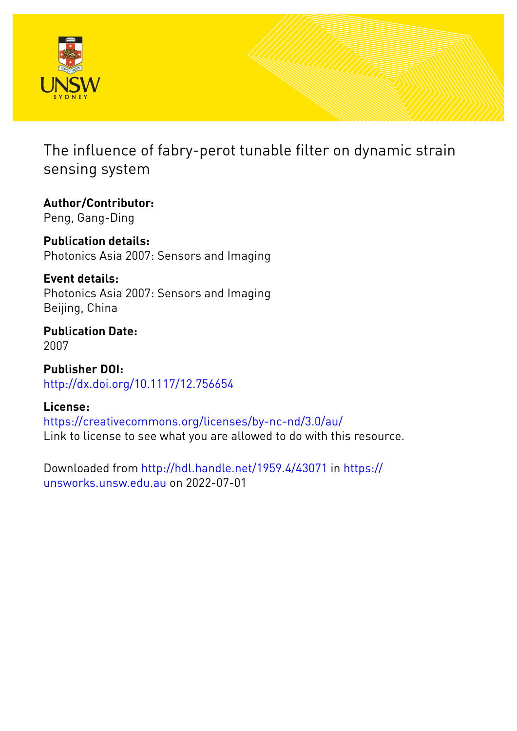

The influence of fabry-perot tunable filter on dynamic strain sensing system

**Author/Contributor:** Peng, Gang-Ding

**Publication details:** Photonics Asia 2007: Sensors and Imaging

**Event details:** Photonics Asia 2007: Sensors and Imaging Beijing, China

**Publication Date:** 2007

**Publisher DOI:** [http://dx.doi.org/10.1117/12.756654](http://dx.doi.org/http://dx.doi.org/10.1117/12.756654)

**License:**

<https://creativecommons.org/licenses/by-nc-nd/3.0/au/> Link to license to see what you are allowed to do with this resource.

Downloaded from <http://hdl.handle.net/1959.4/43071> in [https://](https://unsworks.unsw.edu.au) [unsworks.unsw.edu.au](https://unsworks.unsw.edu.au) on 2022-07-01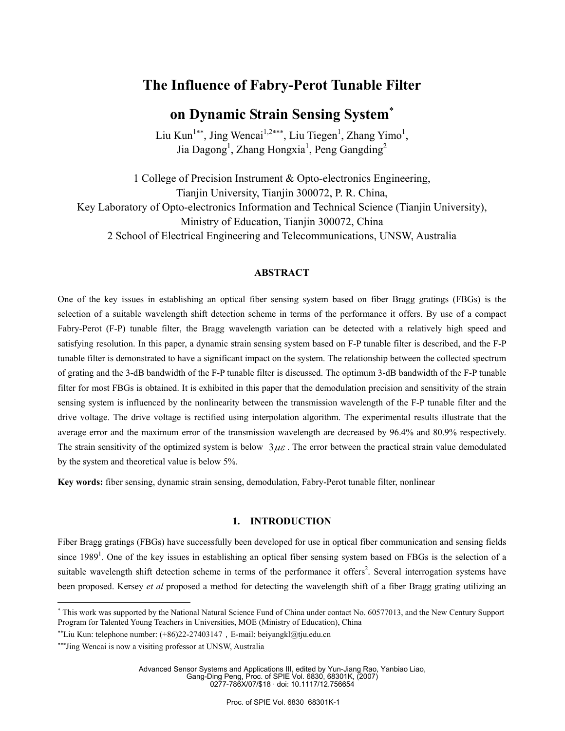## **The Influence of Fabry-Perot Tunable Filter**

# **on Dynamic Strain Sensing System**<sup>∗</sup>

Liu Kun<sup>1\*\*</sup>, Jing Wencai<sup>1,2\*\*\*</sup>, Liu Tiegen<sup>1</sup>, Zhang Yimo<sup>1</sup>, Jia Dagong<sup>1</sup>, Zhang Hongxia<sup>1</sup>, Peng Gangding<sup>2</sup>

1 College of Precision Instrument & Opto-electronics Engineering, Tianjin University, Tianjin 300072, P. R. China, Key Laboratory of Opto-electronics Information and Technical Science (Tianjin University), Ministry of Education, Tianjin 300072, China 2 School of Electrical Engineering and Telecommunications, UNSW, Australia

## **ABSTRACT**

One of the key issues in establishing an optical fiber sensing system based on fiber Bragg gratings (FBGs) is the selection of a suitable wavelength shift detection scheme in terms of the performance it offers. By use of a compact Fabry-Perot (F-P) tunable filter, the Bragg wavelength variation can be detected with a relatively high speed and satisfying resolution. In this paper, a dynamic strain sensing system based on F-P tunable filter is described, and the F-P tunable filter is demonstrated to have a significant impact on the system. The relationship between the collected spectrum of grating and the 3-dB bandwidth of the F-P tunable filter is discussed. The optimum 3-dB bandwidth of the F-P tunable filter for most FBGs is obtained. It is exhibited in this paper that the demodulation precision and sensitivity of the strain sensing system is influenced by the nonlinearity between the transmission wavelength of the F-P tunable filter and the drive voltage. The drive voltage is rectified using interpolation algorithm. The experimental results illustrate that the average error and the maximum error of the transmission wavelength are decreased by 96.4% and 80.9% respectively. The strain sensitivity of the optimized system is below  $3\mu\varepsilon$ . The error between the practical strain value demodulated by the system and theoretical value is below 5%.

**Key words:** fiber sensing, dynamic strain sensing, demodulation, Fabry-Perot tunable filter, nonlinear

#### **1. INTRODUCTION**

Fiber Bragg gratings (FBGs) have successfully been developed for use in optical fiber communication and sensing fields since 1989<sup>1</sup>. One of the key issues in establishing an optical fiber sensing system based on FBGs is the selection of a suitable wavelength shift detection scheme in terms of the performance it offers<sup>2</sup>. Several interrogation systems have been proposed. Kersey *et al* proposed a method for detecting the wavelength shift of a fiber Bragg grating utilizing an

 $\overline{a}$ 

Advanced Sensor Systems and Applications III, edited by Yun-Jiang Rao, Yanbiao Liao, Gang-Ding Peng, Proc. of SPIE Vol. 6830, 68301K, (2007) 0277-786X/07/\$18 · doi: 10.1117/12.756654

<sup>∗</sup> This work was supported by the National Natural Science Fund of China under contact No. 60577013, and the New Century Support Program for Talented Young Teachers in Universities, MOE (Ministry of Education), China

<sup>∗∗</sup>Liu Kun: telephone number: (+86)22-27403147,E-mail: beiyangkl@tju.edu.cn

<sup>∗∗∗</sup>Jing Wencai is now a visiting professor at UNSW, Australia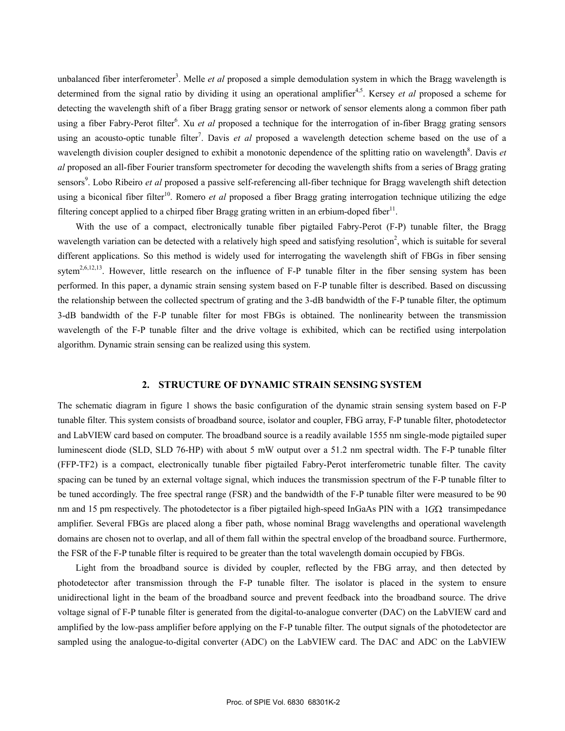unbalanced fiber interferometer<sup>3</sup>. Melle *et al* proposed a simple demodulation system in which the Bragg wavelength is determined from the signal ratio by dividing it using an operational amplifier<sup>4,5</sup>. Kersey *et al* proposed a scheme for detecting the wavelength shift of a fiber Bragg grating sensor or network of sensor elements along a common fiber path using a fiber Fabry-Perot filter<sup>6</sup>. Xu *et al* proposed a technique for the interrogation of in-fiber Bragg grating sensors using an acousto-optic tunable filter<sup>7</sup>. Davis *et al* proposed a wavelength detection scheme based on the use of a wavelength division coupler designed to exhibit a monotonic dependence of the splitting ratio on wavelength<sup>8</sup>. Davis et *al* proposed an all-fiber Fourier transform spectrometer for decoding the wavelength shifts from a series of Bragg grating sensors<sup>9</sup>. Lobo Ribeiro *et al* proposed a passive self-referencing all-fiber technique for Bragg wavelength shift detection using a biconical fiber filter<sup>10</sup>. Romero *et al* proposed a fiber Bragg grating interrogation technique utilizing the edge filtering concept applied to a chirped fiber Bragg grating written in an erbium-doped fiber<sup>11</sup>.

With the use of a compact, electronically tunable fiber pigtailed Fabry-Perot (F-P) tunable filter, the Bragg wavelength variation can be detected with a relatively high speed and satisfying resolution<sup>2</sup>, which is suitable for several different applications. So this method is widely used for interrogating the wavelength shift of FBGs in fiber sensing sytem<sup>2,6,12,13</sup>. However, little research on the influence of F-P tunable filter in the fiber sensing system has been performed. In this paper, a dynamic strain sensing system based on F-P tunable filter is described. Based on discussing the relationship between the collected spectrum of grating and the 3-dB bandwidth of the F-P tunable filter, the optimum 3-dB bandwidth of the F-P tunable filter for most FBGs is obtained. The nonlinearity between the transmission wavelength of the F-P tunable filter and the drive voltage is exhibited, which can be rectified using interpolation algorithm. Dynamic strain sensing can be realized using this system.

#### **2. STRUCTURE OF DYNAMIC STRAIN SENSING SYSTEM**

The schematic diagram in figure 1 shows the basic configuration of the dynamic strain sensing system based on F-P tunable filter. This system consists of broadband source, isolator and coupler, FBG array, F-P tunable filter, photodetector and LabVIEW card based on computer. The broadband source is a readily available 1555 nm single-mode pigtailed super luminescent diode (SLD, SLD 76-HP) with about 5 mW output over a 51.2 nm spectral width. The F-P tunable filter (FFP-TF2) is a compact, electronically tunable fiber pigtailed Fabry-Perot interferometric tunable filter. The cavity spacing can be tuned by an external voltage signal, which induces the transmission spectrum of the F-P tunable filter to be tuned accordingly. The free spectral range (FSR) and the bandwidth of the F-P tunable filter were measured to be 90 nm and 15 pm respectively. The photodetector is a fiber pigtailed high-speed InGaAs PIN with a 1*G*Ω transimpedance amplifier. Several FBGs are placed along a fiber path, whose nominal Bragg wavelengths and operational wavelength domains are chosen not to overlap, and all of them fall within the spectral envelop of the broadband source. Furthermore, the FSR of the F-P tunable filter is required to be greater than the total wavelength domain occupied by FBGs.

Light from the broadband source is divided by coupler, reflected by the FBG array, and then detected by photodetector after transmission through the F-P tunable filter. The isolator is placed in the system to ensure unidirectional light in the beam of the broadband source and prevent feedback into the broadband source. The drive voltage signal of F-P tunable filter is generated from the digital-to-analogue converter (DAC) on the LabVIEW card and amplified by the low-pass amplifier before applying on the F-P tunable filter. The output signals of the photodetector are sampled using the analogue-to-digital converter (ADC) on the LabVIEW card. The DAC and ADC on the LabVIEW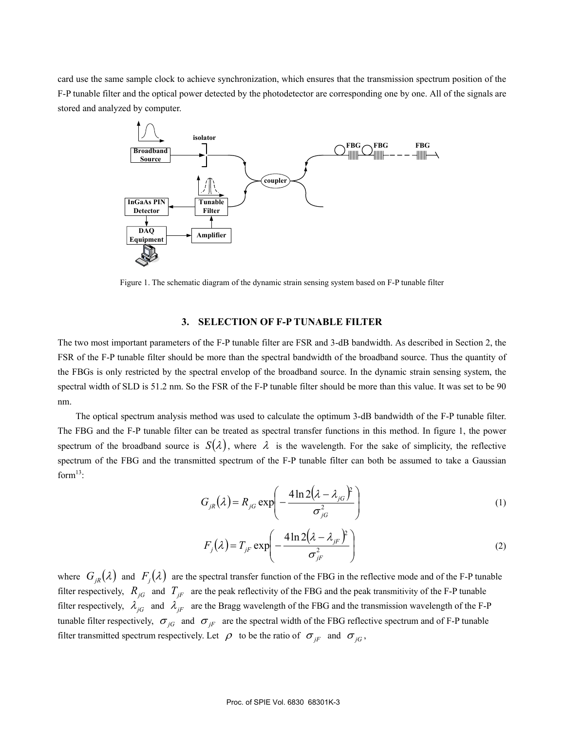card use the same sample clock to achieve synchronization, which ensures that the transmission spectrum position of the F-P tunable filter and the optical power detected by the photodetector are corresponding one by one. All of the signals are stored and analyzed by computer.



Figure 1. The schematic diagram of the dynamic strain sensing system based on F-P tunable filter

## **3. SELECTION OF F-P TUNABLE FILTER**

The two most important parameters of the F-P tunable filter are FSR and 3-dB bandwidth. As described in Section 2, the FSR of the F-P tunable filter should be more than the spectral bandwidth of the broadband source. Thus the quantity of the FBGs is only restricted by the spectral envelop of the broadband source. In the dynamic strain sensing system, the spectral width of SLD is 51.2 nm. So the FSR of the F-P tunable filter should be more than this value. It was set to be 90 nm.

The optical spectrum analysis method was used to calculate the optimum 3-dB bandwidth of the F-P tunable filter. The FBG and the F-P tunable filter can be treated as spectral transfer functions in this method. In figure 1, the power spectrum of the broadband source is  $S(\lambda)$ , where  $\lambda$  is the wavelength. For the sake of simplicity, the reflective spectrum of the FBG and the transmitted spectrum of the F-P tunable filter can both be assumed to take a Gaussian form $^{13}$ :

$$
G_{jR}(\lambda) = R_{jG} \exp\left(-\frac{4\ln 2(\lambda - \lambda_{jG})^2}{\sigma_{jG}^2}\right) \tag{1}
$$

$$
F_j(\lambda) = T_{jF} \exp\left(-\frac{4\ln 2(\lambda - \lambda_{jF})^2}{\sigma_{jF}^2}\right) \tag{2}
$$

where  $G_{iR}(\lambda)$  and  $F_i(\lambda)$  are the spectral transfer function of the FBG in the reflective mode and of the F-P tunable filter respectively,  $R_{jG}$  and  $T_{jF}$  are the peak reflectivity of the FBG and the peak transmitivity of the F-P tunable filter respectively,  $\lambda_{jG}$  and  $\lambda_{jF}$  are the Bragg wavelength of the FBG and the transmission wavelength of the F-P tunable filter respectively,  $\sigma_{jG}$  and  $\sigma_{jF}$  are the spectral width of the FBG reflective spectrum and of F-P tunable filter transmitted spectrum respectively. Let  $\rho$  to be the ratio of  $\sigma_{jF}$  and  $\sigma_{jG}$ ,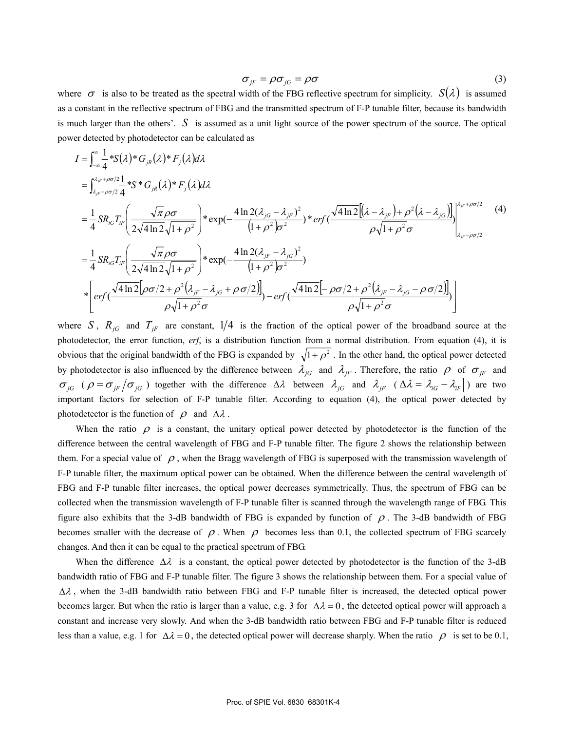$$
\sigma_{jF} = \rho \sigma_{jG} = \rho \sigma \tag{3}
$$

where  $\sigma$  is also to be treated as the spectral width of the FBG reflective spectrum for simplicity.  $S(\lambda)$  is assumed as a constant in the reflective spectrum of FBG and the transmitted spectrum of F-P tunable filter, because its bandwidth is much larger than the others'. *S* is assumed as a unit light source of the power spectrum of the source. The optical power detected by photodetector can be calculated as

$$
I = \int_{-\infty}^{\infty} \frac{1}{4} * S(\lambda) * G_{jk}(\lambda) * F_j(\lambda) d\lambda
$$
  
\n
$$
= \int_{\lambda_{jr} - \rho \sigma/2}^{\lambda_{jr} + \rho \sigma/2} \frac{1}{4} * S * G_{jk}(\lambda) * F_j(\lambda) d\lambda
$$
  
\n
$$
= \frac{1}{4} SR_{iG}T_{ir} \left( \frac{\sqrt{\pi} \rho \sigma}{2\sqrt{4 \ln 2} \sqrt{1 + \rho^2}} \right) * \exp(-\frac{4 \ln 2(\lambda_{jG} - \lambda_{jr})^2}{(1 + \rho^2) \sigma^2}) * erf(\frac{\sqrt{4 \ln 2}[(\lambda - \lambda_{jr}) + \rho^2(\lambda - \lambda_{jG})]}{\rho \sqrt{1 + \rho^2} \sigma}) \Big|_{\lambda_{jr} - \rho \sigma/2}^{\lambda_{jr} + \rho \sigma/2}
$$
(4)  
\n
$$
= \frac{1}{4} SR_{iG}T_{ir} \left( \frac{\sqrt{\pi} \rho \sigma}{2\sqrt{4 \ln 2} \sqrt{1 + \rho^2}} \right) * \exp(-\frac{4 \ln 2(\lambda_{jr} - \lambda_{jG})^2}{(1 + \rho^2) \sigma^2})
$$
  
\n
$$
* \left[ erf(\frac{\sqrt{4 \ln 2}[\rho \sigma/2 + \rho^2(\lambda_{jr} - \lambda_{jG} + \rho \sigma/2)]}{\rho \sqrt{1 + \rho^2} \sigma} - erf(\frac{\sqrt{4 \ln 2}[-\rho \sigma/2 + \rho^2(\lambda_{jr} - \lambda_{jG} - \rho \sigma/2)]}{\rho \sqrt{1 + \rho^2} \sigma}) \right]
$$

where *S*,  $R_{jG}$  and  $T_{jF}$  are constant,  $1/4$  is the fraction of the optical power of the broadband source at the photodetector, the error function, *erf*, is a distribution function from a normal distribution. From equation (4), it is obvious that the original bandwidth of the FBG is expanded by  $\sqrt{1+\rho^2}$ . In the other hand, the optical power detected by photodetector is also influenced by the difference between  $\lambda_{jG}$  and  $\lambda_{jF}$ . Therefore, the ratio  $\rho$  of  $\sigma_{jF}$  and  $\sigma_{jG}$  ( $\rho = \sigma_{jF}/\sigma_{jG}$ ) together with the difference  $\Delta \lambda$  between  $\lambda_{jG}$  and  $\lambda_{jF}$  ( $\Delta \lambda = |\lambda_{iG} - \lambda_{iF}|$ ) are two important factors for selection of F-P tunable filter. According to equation (4), the optical power detected by photodetector is the function of  $\rho$  and  $\Delta\lambda$ .

When the ratio  $\rho$  is a constant, the unitary optical power detected by photodetector is the function of the difference between the central wavelength of FBG and F-P tunable filter. The figure 2 shows the relationship between them. For a special value of  $\rho$ , when the Bragg wavelength of FBG is superposed with the transmission wavelength of F-P tunable filter, the maximum optical power can be obtained. When the difference between the central wavelength of FBG and F-P tunable filter increases, the optical power decreases symmetrically. Thus, the spectrum of FBG can be collected when the transmission wavelength of F-P tunable filter is scanned through the wavelength range of FBG. This figure also exhibits that the 3-dB bandwidth of FBG is expanded by function of  $\rho$ . The 3-dB bandwidth of FBG becomes smaller with the decrease of  $\rho$ . When  $\rho$  becomes less than 0.1, the collected spectrum of FBG scarcely changes. And then it can be equal to the practical spectrum of FBG.

When the difference  $\Delta \lambda$  is a constant, the optical power detected by photodetector is the function of the 3-dB bandwidth ratio of FBG and F-P tunable filter. The figure 3 shows the relationship between them. For a special value of ∆λ , when the 3-dB bandwidth ratio between FBG and F-P tunable filter is increased, the detected optical power becomes larger. But when the ratio is larger than a value, e.g. 3 for  $\Delta \lambda = 0$ , the detected optical power will approach a constant and increase very slowly. And when the 3-dB bandwidth ratio between FBG and F-P tunable filter is reduced less than a value, e.g. 1 for  $\Delta \lambda = 0$ , the detected optical power will decrease sharply. When the ratio  $\rho$  is set to be 0.1,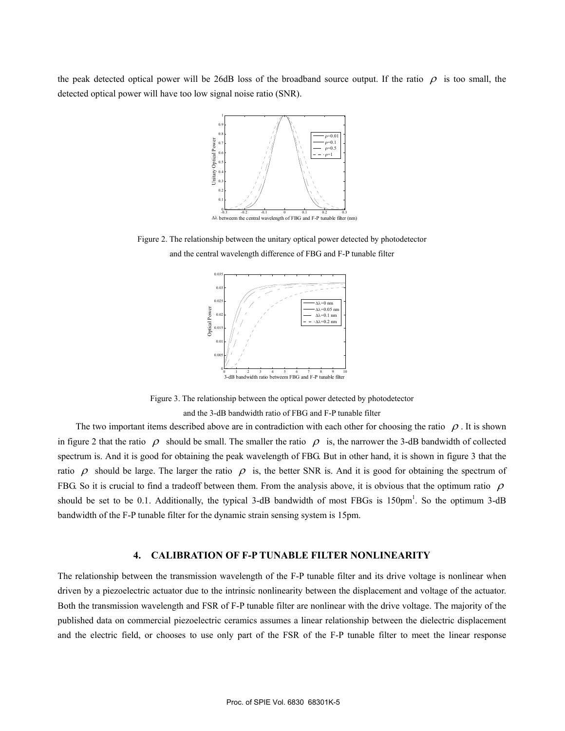the peak detected optical power will be 26dB loss of the broadband source output. If the ratio  $\rho$  is too small, the detected optical power will have too low signal noise ratio (SNR).



Figure 2. The relationship between the unitary optical power detected by photodetector and the central wavelength difference of FBG and F-P tunable filter



Figure 3. The relationship between the optical power detected by photodetector

and the 3-dB bandwidth ratio of FBG and F-P tunable filter

The two important items described above are in contradiction with each other for choosing the ratio  $\rho$ . It is shown in figure 2 that the ratio  $\rho$  should be small. The smaller the ratio  $\rho$  is, the narrower the 3-dB bandwidth of collected spectrum is. And it is good for obtaining the peak wavelength of FBG. But in other hand, it is shown in figure 3 that the ratio  $\rho$  should be large. The larger the ratio  $\rho$  is, the better SNR is. And it is good for obtaining the spectrum of FBG. So it is crucial to find a tradeoff between them. From the analysis above, it is obvious that the optimum ratio  $\rho$ should be set to be 0.1. Additionally, the typical 3-dB bandwidth of most FBGs is 150pm<sup>1</sup>. So the optimum 3-dB bandwidth of the F-P tunable filter for the dynamic strain sensing system is 15pm.

#### **4. CALIBRATION OF F-P TUNABLE FILTER NONLINEARITY**

The relationship between the transmission wavelength of the F-P tunable filter and its drive voltage is nonlinear when driven by a piezoelectric actuator due to the intrinsic nonlinearity between the displacement and voltage of the actuator. Both the transmission wavelength and FSR of F-P tunable filter are nonlinear with the drive voltage. The majority of the published data on commercial piezoelectric ceramics assumes a linear relationship between the dielectric displacement and the electric field, or chooses to use only part of the FSR of the F-P tunable filter to meet the linear response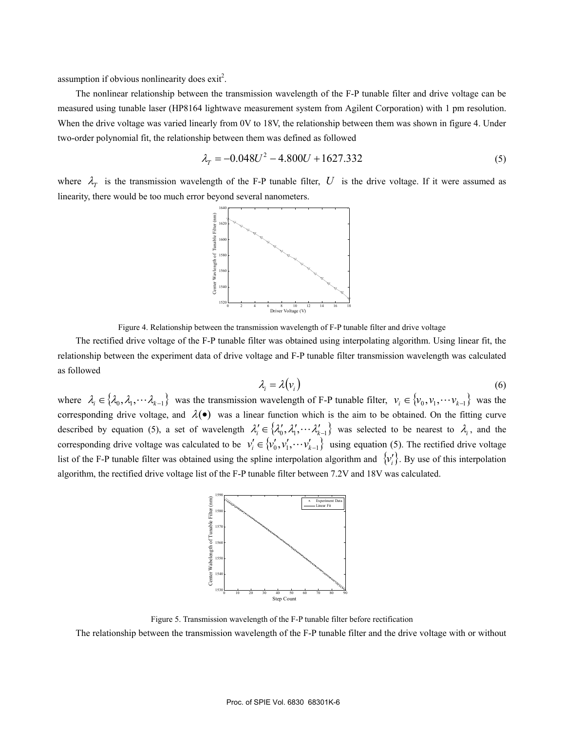assumption if obvious nonlinearity does  $exit^2$ .

The nonlinear relationship between the transmission wavelength of the F-P tunable filter and drive voltage can be measured using tunable laser (HP8164 lightwave measurement system from Agilent Corporation) with 1 pm resolution. When the drive voltage was varied linearly from 0V to 18V, the relationship between them was shown in figure 4. Under two-order polynomial fit, the relationship between them was defined as followed

$$
\lambda_T = -0.048U^2 - 4.800U + 1627.332\tag{5}
$$

where  $\lambda_T$  is the transmission wavelength of the F-P tunable filter, U is the drive voltage. If it were assumed as linearity, there would be too much error beyond several nanometers.





The rectified drive voltage of the F-P tunable filter was obtained using interpolating algorithm. Using linear fit, the relationship between the experiment data of drive voltage and F-P tunable filter transmission wavelength was calculated as followed

$$
\lambda_i = \lambda(v_i) \tag{6}
$$

where  $\lambda_i \in \{ \lambda_0, \lambda_1, \dots, \lambda_{k-1} \}$  was the transmission wavelength of F-P tunable filter,  $v_i \in \{ v_0, v_1, \dots, v_{k-1} \}$  was the corresponding drive voltage, and  $\lambda(\bullet)$  was a linear function which is the aim to be obtained. On the fitting curve described by equation (5), a set of wavelength  $\lambda'_{i} \in \{\lambda'_{0}, \lambda'_{1}, \dots, \lambda'_{k-1}\}$  was selected to be nearest to  $\lambda_{i}$ , and the corresponding drive voltage was calculated to be  $v'_i \in \{v'_0, v'_1, \dots, v'_{k-1}\}$  using equation (5). The rectified drive voltage list of the F-P tunable filter was obtained using the spline interpolation algorithm and  $\{v_i'\}$ . By use of this interpolation algorithm, the rectified drive voltage list of the F-P tunable filter between 7.2V and 18V was calculated.



Figure 5. Transmission wavelength of the F-P tunable filter before rectification

The relationship between the transmission wavelength of the F-P tunable filter and the drive voltage with or without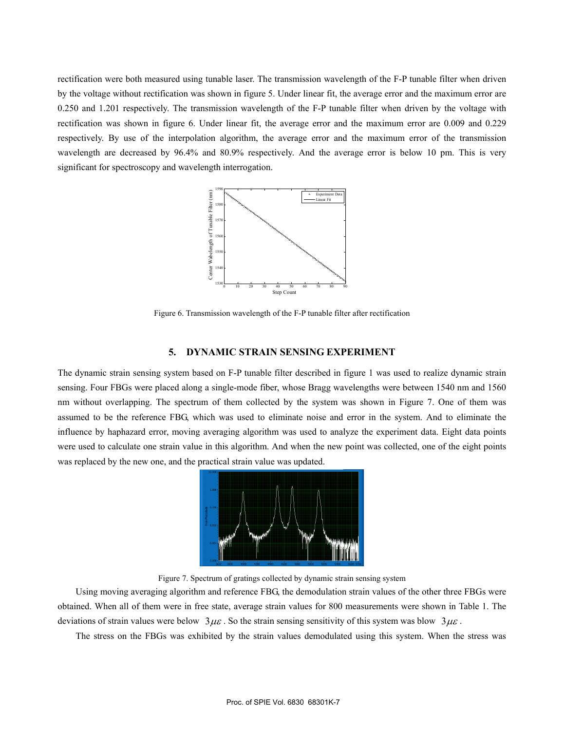rectification were both measured using tunable laser. The transmission wavelength of the F-P tunable filter when driven by the voltage without rectification was shown in figure 5. Under linear fit, the average error and the maximum error are 0.250 and 1.201 respectively. The transmission wavelength of the F-P tunable filter when driven by the voltage with rectification was shown in figure 6. Under linear fit, the average error and the maximum error are 0.009 and 0.229 respectively. By use of the interpolation algorithm, the average error and the maximum error of the transmission wavelength are decreased by 96.4% and 80.9% respectively. And the average error is below 10 pm. This is very significant for spectroscopy and wavelength interrogation.



Figure 6. Transmission wavelength of the F-P tunable filter after rectification

#### **5. DYNAMIC STRAIN SENSING EXPERIMENT**

The dynamic strain sensing system based on F-P tunable filter described in figure 1 was used to realize dynamic strain sensing. Four FBGs were placed along a single-mode fiber, whose Bragg wavelengths were between 1540 nm and 1560 nm without overlapping. The spectrum of them collected by the system was shown in Figure 7. One of them was assumed to be the reference FBG, which was used to eliminate noise and error in the system. And to eliminate the influence by haphazard error, moving averaging algorithm was used to analyze the experiment data. Eight data points were used to calculate one strain value in this algorithm. And when the new point was collected, one of the eight points was replaced by the new one, and the practical strain value was updated.



Figure 7. Spectrum of gratings collected by dynamic strain sensing system

Using moving averaging algorithm and reference FBG, the demodulation strain values of the other three FBGs were obtained. When all of them were in free state, average strain values for 800 measurements were shown in Table 1. The deviations of strain values were below  $3\mu\varepsilon$ . So the strain sensing sensitivity of this system was blow  $3\mu\varepsilon$ .

The stress on the FBGs was exhibited by the strain values demodulated using this system. When the stress was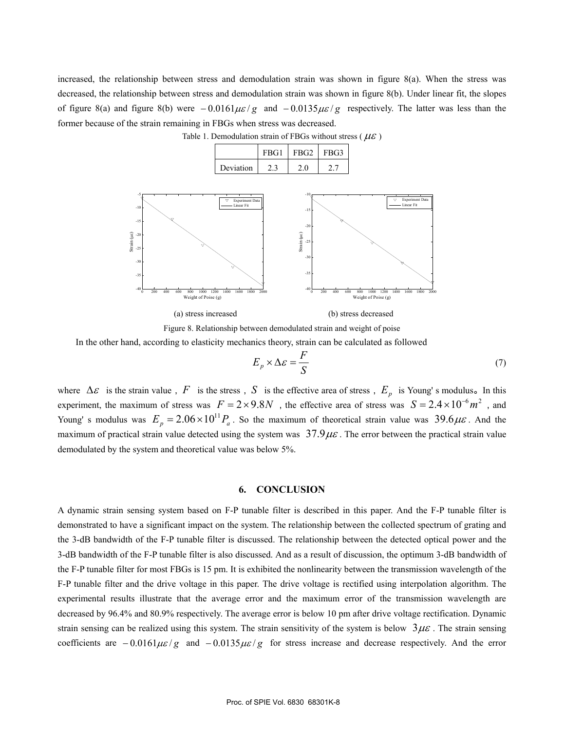increased, the relationship between stress and demodulation strain was shown in figure 8(a). When the stress was decreased, the relationship between stress and demodulation strain was shown in figure 8(b). Under linear fit, the slopes of figure 8(a) and figure 8(b) were  $-0.0161\mu\epsilon/g$  and  $-0.0135\mu\epsilon/g$  respectively. The latter was less than the former because of the strain remaining in FBGs when stress was decreased.



Table 1. Demodulation strain of FBGs without stress ( $\mu \varepsilon$ )



In the other hand, according to elasticity mechanics theory, strain can be calculated as followed

$$
E_p \times \Delta \varepsilon = \frac{F}{S} \tag{7}
$$

where  $\Delta \varepsilon$  is the strain value, *F* is the stress, *S* is the effective area of stress,  $E_p$  is Young's modulus. In this experiment, the maximum of stress was  $F = 2 \times 9.8N$ , the effective area of stress was  $S = 2.4 \times 10^{-6} m^2$ , and Young' s modulus was  $E_p = 2.06 \times 10^{11} P_a$ . So the maximum of theoretical strain value was  $39.6 \mu \varepsilon$ . And the maximum of practical strain value detected using the system was  $37.9\mu\varepsilon$ . The error between the practical strain value demodulated by the system and theoretical value was below 5%.

#### **6. CONCLUSION**

A dynamic strain sensing system based on F-P tunable filter is described in this paper. And the F-P tunable filter is demonstrated to have a significant impact on the system. The relationship between the collected spectrum of grating and the 3-dB bandwidth of the F-P tunable filter is discussed. The relationship between the detected optical power and the 3-dB bandwidth of the F-P tunable filter is also discussed. And as a result of discussion, the optimum 3-dB bandwidth of the F-P tunable filter for most FBGs is 15 pm. It is exhibited the nonlinearity between the transmission wavelength of the F-P tunable filter and the drive voltage in this paper. The drive voltage is rectified using interpolation algorithm. The experimental results illustrate that the average error and the maximum error of the transmission wavelength are decreased by 96.4% and 80.9% respectively. The average error is below 10 pm after drive voltage rectification. Dynamic strain sensing can be realized using this system. The strain sensitivity of the system is below  $3\mu\varepsilon$ . The strain sensing coefficients are −0.0161 $\mu \varepsilon$ /g and −0.0135 $\mu \varepsilon$ /g for stress increase and decrease respectively. And the error